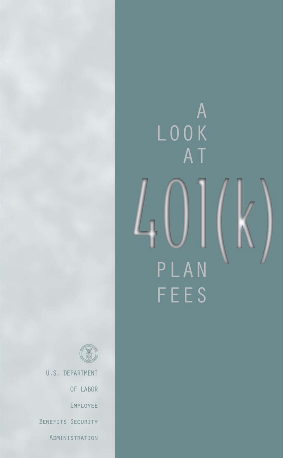



U.S. DEPARTMENT

OF LABOR

EMPLOYEE

BENEFITS SECURITY

ADMINISTRATION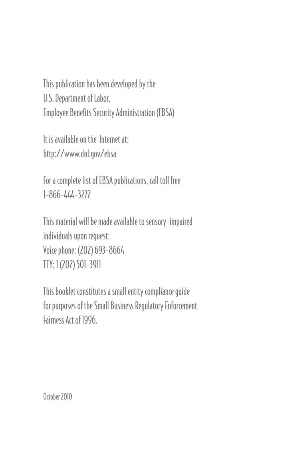This publication has been developed by the U.S. Department of Labor, Employee Benefits Security Administration (EBSA)

It is available on the Internet at: http://www.dol.gov/ebsa

For a complete list of EBSA publications, call toll free  $1 - 866 - 444 - 3272$ 

This material will be made available to sensory-impaired individuals upon request: Voice phone: (202) 693-8664 TTY: 1 (202) 501-3911

This booklet constitutes a small entity compliance quide for purposes of the Small Business Regulatory Enforcement Fairness Act of 1996.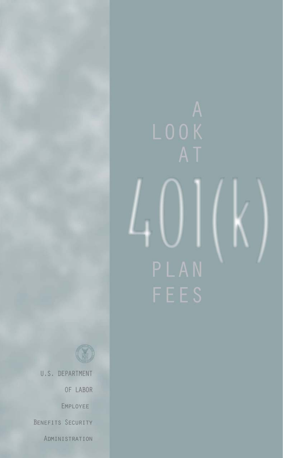

U.S. DEPARTMENT

OF LABOR

EMPLOYEE

BENEFITS SECURITY

ADMINISTRATION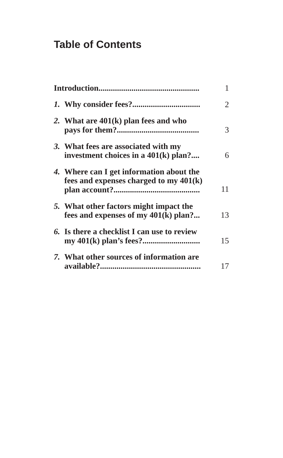# **Table of Contents**

|  |                                                                                    | 1  |
|--|------------------------------------------------------------------------------------|----|
|  |                                                                                    | 2  |
|  | 2. What are $401(k)$ plan fees and who                                             | 3  |
|  | 3. What fees are associated with my<br>investment choices in a $401(k)$ plan?      | 6  |
|  | 4. Where can I get information about the<br>fees and expenses charged to my 401(k) | 11 |
|  | 5. What other factors might impact the<br>fees and expenses of my $401(k)$ plan?   | 13 |
|  | 6. Is there a checklist I can use to review                                        | 15 |
|  | 7. What other sources of information are                                           | 17 |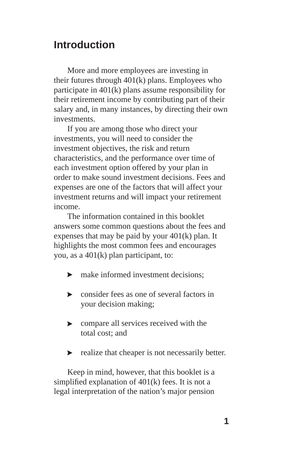## **Introduction**

More and more employees are investing in their futures through 401(k) plans. Employees who participate in 401(k) plans assume responsibility for their retirement income by contributing part of their salary and, in many instances, by directing their own investments.

If you are among those who direct your investments, you will need to consider the investment objectives, the risk and return characteristics, and the performance over time of each investment option offered by your plan in order to make sound investment decisions. Fees and expenses are one of the factors that will affect your investment returns and will impact your retirement income.

The information contained in this booklet answers some common questions about the fees and expenses that may be paid by your 401(k) plan. It highlights the most common fees and encourages you, as a 401(k) plan participant, to:

- make informed investment decisions;
- consider fees as one of several factors in your decision making;
- compare all services received with the total cost; and
- realize that cheaper is not necessarily better.  $\blacktriangleright$

Keep in mind, however, that this booklet is a simplified explanation of  $401(k)$  fees. It is not a legal interpretation of the nation's major pension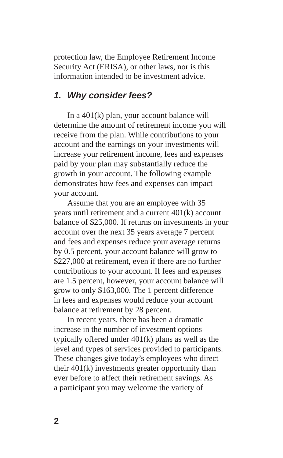protection law, the Employee Retirement Income Security Act (ERISA), or other laws, nor is this information intended to be investment advice.

#### *1. Why consider fees?*

In a 401(k) plan, your account balance will determine the amount of retirement income you will receive from the plan. While contributions to your account and the earnings on your investments will increase your retirement income, fees and expenses paid by your plan may substantially reduce the growth in your account. The following example demonstrates how fees and expenses can impact your account.

Assume that you are an employee with 35 years until retirement and a current 401(k) account balance of \$25,000. If returns on investments in your account over the next 35 years average 7 percent and fees and expenses reduce your average returns by 0.5 percent, your account balance will grow to \$227,000 at retirement, even if there are no further contributions to your account. If fees and expenses are 1.5 percent, however, your account balance will grow to only \$163,000. The 1 percent difference in fees and expenses would reduce your account balance at retirement by 28 percent.

In recent years, there has been a dramatic increase in the number of investment options typically offered under 401(k) plans as well as the level and types of services provided to participants. These changes give today's employees who direct their 401(k) investments greater opportunity than ever before to affect their retirement savings. As a participant you may welcome the variety of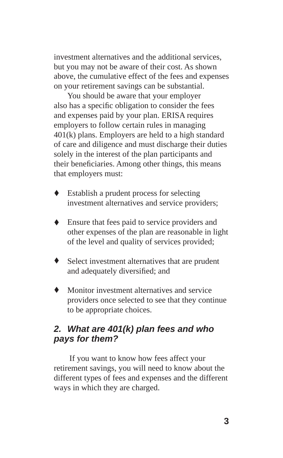investment alternatives and the additional services, but you may not be aware of their cost. As shown above, the cumulative effect of the fees and expenses on your retirement savings can be substantial.

You should be aware that your employer also has a specific obligation to consider the fees and expenses paid by your plan. ERISA requires employers to follow certain rules in managing 401(k) plans. Employers are held to a high standard of care and diligence and must discharge their duties solely in the interest of the plan participants and their beneficiaries. Among other things, this means that employers must:

- Establish a prudent process for selecting investment alternatives and service providers; ٠
- Ensure that fees paid to service providers and other expenses of the plan are reasonable in light of the level and quality of services provided;
- Select investment alternatives that are prudent and adequately diversified; and
- Monitor investment alternatives and service providers once selected to see that they continue to be appropriate choices.

#### *2. What are 401(k) plan fees and who pays for them?*

 If you want to know how fees affect your retirement savings, you will need to know about the different types of fees and expenses and the different ways in which they are charged.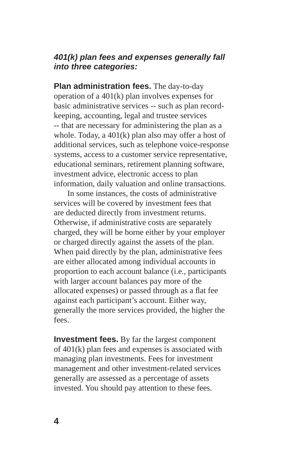#### *401(k) plan fees and expenses generally fall into three categories:*

**Plan administration fees.** The day-to-day operation of a 401(k) plan involves expenses for basic administrative services -- such as plan recordkeeping, accounting, legal and trustee services -- that are necessary for administering the plan as a whole. Today, a 401(k) plan also may offer a host of additional services, such as telephone voice-response systems, access to a customer service representative, educational seminars, retirement planning software, investment advice, electronic access to plan information, daily valuation and online transactions.

In some instances, the costs of administrative services will be covered by investment fees that are deducted directly from investment returns. Otherwise, if administrative costs are separately charged, they will be borne either by your employer or charged directly against the assets of the plan. When paid directly by the plan, administrative fees are either allocated among individual accounts in proportion to each account balance (i.e., participants with larger account balances pay more of the allocated expenses) or passed through as a flat fee against each participant's account. Either way, generally the more services provided, the higher the fees.

**Investment fees.** By far the largest component of 401(k) plan fees and expenses is associated with managing plan investments. Fees for investment management and other investment-related services generally are assessed as a percentage of assets invested. You should pay attention to these fees.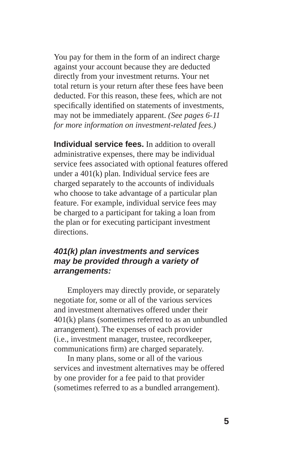You pay for them in the form of an indirect charge against your account because they are deducted directly from your investment returns. Your net total return is your return after these fees have been deducted. For this reason, these fees, which are not specifically identified on statements of investments, may not be immediately apparent. *(See pages 6-11 for more information on investment-related fees.)* 

**Individual service fees.** In addition to overall administrative expenses, there may be individual service fees associated with optional features offered under a 401(k) plan. Individual service fees are charged separately to the accounts of individuals who choose to take advantage of a particular plan feature. For example, individual service fees may be charged to a participant for taking a loan from the plan or for executing participant investment directions.

#### *401(k) plan investments and services may be provided through a variety of arrangements:*

Employers may directly provide, or separately negotiate for, some or all of the various services and investment alternatives offered under their 401(k) plans (sometimes referred to as an unbundled arrangement). The expenses of each provider (i.e., investment manager, trustee, recordkeeper, communications firm) are charged separately.

In many plans, some or all of the various services and investment alternatives may be offered by one provider for a fee paid to that provider (sometimes referred to as a bundled arrangement).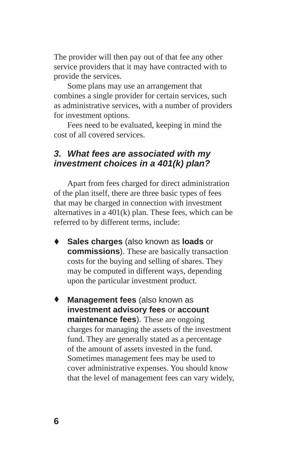The provider will then pay out of that fee any other service providers that it may have contracted with to provide the services.

Some plans may use an arrangement that combines a single provider for certain services, such as administrative services, with a number of providers for investment options.

Fees need to be evaluated, keeping in mind the cost of all covered services.

#### *3. What fees are associated with my investment choices in a 401(k) plan?*

Apart from fees charged for direct administration of the plan itself, there are three basic types of fees that may be charged in connection with investment alternatives in a 401(k) plan. These fees, which can be referred to by different terms, include:

- **Sales charges** (also known as **loads** or **commissions**). These are basically transaction costs for the buying and selling of shares. They may be computed in different ways, depending upon the particular investment product. ٠
- **Management fees** (also known as **investment advisory fees** or **account maintenance fees**). These are ongoing charges for managing the assets of the investment fund. They are generally stated as a percentage of the amount of assets invested in the fund. Sometimes management fees may be used to cover administrative expenses. You should know that the level of management fees can vary widely,  $\bullet$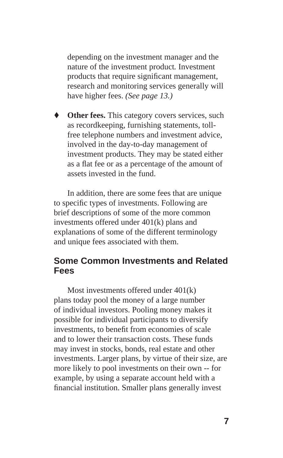depending on the investment manager and the nature of the investment product*.* Investment products that require significant management, research and monitoring services generally will have higher fees. *(See page 13.)* 

**Other fees.** This category covers services, such as recordkeeping, furnishing statements, tollfree telephone numbers and investment advice, involved in the day-to -day management of investment products. They may be stated either as a flat fee or as a percentage of the amount of assets invested in the fund.

In addition, there are some fees that are unique to specific types of investments. Following are brief descriptions of some of the more common investments offered under 401(k) plans and explanations of some of the different terminology and unique fees associated with them.

#### **Some Common Investments and Related Fees**

Most investments offered under 401(k) plans today pool the money of a large number of individual investors. Pooling money makes it possible for individual participants to diversify investments, to benefit from economies of scale and to lower their transaction costs. These funds may invest in stocks, bonds, real estate and other investments. Larger plans, by virtue of their size, are more likely to pool investments on their own -- for example, by using a separate account held with a financial institution. Smaller plans generally invest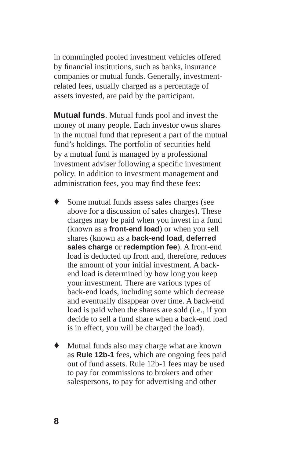in commingled pooled investment vehicles offered by financial institutions, such as banks, insurance companies or mutual funds. Generally, investmentrelated fees, usually charged as a percentage of assets invested, are paid by the participant.

**Mutual funds**. Mutual funds pool and invest the money of many people. Each investor owns shares in the mutual fund that represent a part of the mutual fund's holdings. The portfolio of securities held by a mutual fund is managed by a professional investment adviser following a specific investment policy. In addition to investment management and administration fees, you may find these fees:

- Some mutual funds assess sales charges (see above for a discussion of sales charges). These charges may be paid when you invest in a fund (known as a **front-end load**) or when you sell shares (known as a **back-end load**, **deferred sales charge** or **redemption fee**). A front-end load is deducted up front and, therefore, reduces the amount of your initial investment. A backend load is determined by how long you keep your investment. There are various types of back-end loads, including some which decrease and eventually disappear over time. A back-end load is paid when the shares are sold (i.e., if you decide to sell a fund share when a back-end load is in effect, you will be charged the load). ٠
- Mutual funds also may charge what are known as **Rule 12b-1** fees, which are ongoing fees paid out of fund assets. Rule 12b-1 fees may be used to pay for commissions to brokers and other salespersons, to pay for advertising and other ٠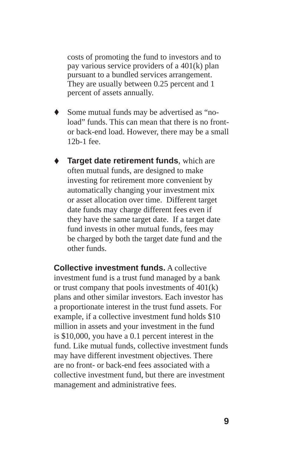costs of promoting the fund to investors and to pay various service providers of a 401(k) plan pursuant to a bundled services arrangement. They are usually between 0.25 percent and 1 percent of assets annually.

- Some mutual funds may be advertised as "no load" funds. This can mean that there is no frontor back-end load. However, there may be a small 12b-1 fee.
- **Target date retirement funds**, which are often mutual funds, are designed to make investing for retirement more convenient by automatically changing your investment mix or asset allocation over time. Different target date funds may charge different fees even if they have the same target date. If a target date fund invests in other mutual funds, fees may be charged by both the target date fund and the other funds. ٠

**Collective investment funds.** A collective investment fund is a trust fund managed by a bank or trust company that pools investments of 401(k) plans and other similar investors. Each investor has a proportionate interest in the trust fund assets. For example, if a collective investment fund holds \$10 million in assets and your investment in the fund is \$10,000, you have a 0.1 percent interest in the fund. Like mutual funds, collective investment funds may have different investment objectives. There are no front- or back-end fees associated with a collective investment fund, but there are investment management and administrative fees.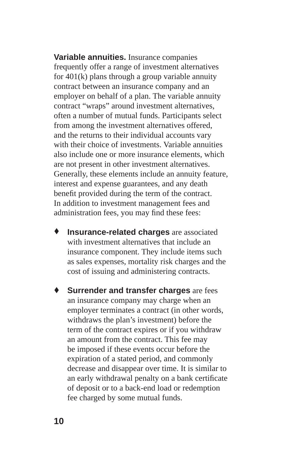**Variable annuities.** Insurance companies frequently offer a range of investment alternatives for 401(k) plans through a group variable annuity contract between an insurance company and an employer on behalf of a plan. The variable annuity contract "wraps" around investment alternatives, often a number of mutual funds. Participants select from among the investment alternatives offered, and the returns to their individual accounts vary with their choice of investments. Variable annuities also include one or more insurance elements, which are not present in other investment alternatives. Generally, these elements include an annuity feature, interest and expense guarantees, and any death benefit provided during the term of the contract. In addition to investment management fees and administration fees, you may find these fees:

- **Insurance-related charges** are associated with investment alternatives that include an insurance component. They include items such as sales expenses, mortality risk charges and the cost of issuing and administering contracts. ٠
- **Surrender and transfer charges** are fees an insurance company may charge when an employer terminates a contract (in other words, withdraws the plan's investment) before the term of the contract expires or if you withdraw an amount from the contract. This fee may be imposed if these events occur before the expiration of a stated period, and commonly decrease and disappear over time. It is similar to an early withdrawal penalty on a bank certificate of deposit or to a back-end load or redemption fee charged by some mutual funds. ٠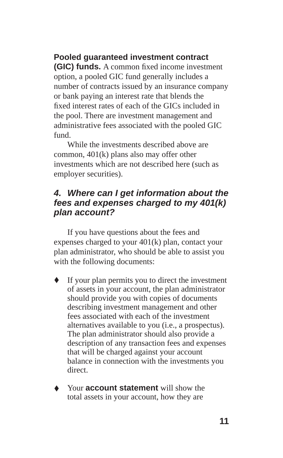#### **Pooled guaranteed investment contract**

**(GIC) funds.** A common fixed income investment option, a pooled GIC fund generally includes a number of contracts issued by an insurance company or bank paying an interest rate that blends the fixed interest rates of each of the GICs included in the pool. There are investment management and administrative fees associated with the pooled GIC fund.

While the investments described above are common, 401(k) plans also may offer other investments which are not described here (such as employer securities).

#### *4. Where can I get information about the fees and expenses charged to my 401(k) plan account?*

If you have questions about the fees and expenses charged to your 401(k) plan, contact your plan administrator, who should be able to assist you with the following documents:

- If your plan permits you to direct the investment of assets in your account, the plan administrator should provide you with copies of documents describing investment management and other fees associated with each of the investment alternatives available to you (i.e., a prospectus). The plan administrator should also provide a description of any transaction fees and expenses that will be charged against your account balance in connection with the investments you direct. ٠
- Your **account statement** will show the total assets in your account, how they are ٠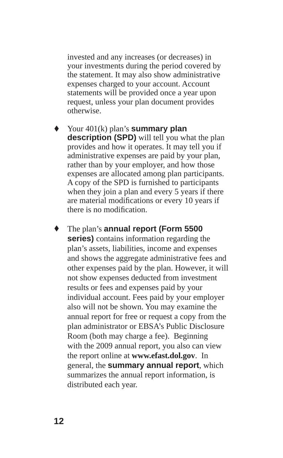invested and any increases (or decreases) in your investments during the period covered by the statement. It may also show administrative expenses charged to your account. Account statements will be provided once a year upon request, unless your plan document provides otherwise.

Your 401(k) plan's **summary plan description (SPD)** will tell you what the plan provides and how it operates. It may tell you if administrative expenses are paid by your plan, rather than by your employer, and how those expenses are allocated among plan participants. A copy of the SPD is furnished to participants when they join a plan and every 5 years if there are material modifications or every 10 years if there is no modification.

The plan's **annual report (Form 5500 series)** contains information regarding the plan's assets, liabilities, income and expenses and shows the aggregate administrative fees and other expenses paid by the plan. However, it will not show expenses deducted from investment results or fees and expenses paid by your individual account. Fees paid by your employer also will not be shown. You may examine the annual report for free or request a copy from the plan administrator or EBSA's Public Disclosure Room (both may charge a fee). Beginning with the 2009 annual report, you also can view the report online at **www.efast.dol.gov**. In general, the **summary annual report**, which summarizes the annual report information, is distributed each year. ٠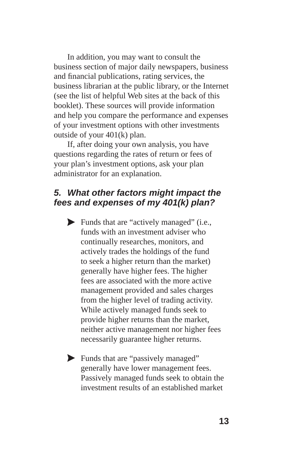In addition, you may want to consult the business section of major daily newspapers, business and financial publications, rating services, the business librarian at the public library, or the Internet (see the list of helpful Web sites at the back of this booklet). These sources will provide information and help you compare the performance and expenses of your investment options with other investments outside of your 401(k) plan.

If, after doing your own analysis, you have questions regarding the rates of return or fees of your plan's investment options, ask your plan administrator for an explanation.

#### *5. What other factors might impact the fees and expenses of my 401(k) plan?*

- Funds that are "actively managed" (i.e., funds with an investment adviser who continually researches, monitors, and actively trades the holdings of the fund to seek a higher return than the market) generally have higher fees. The higher fees are associated with the more active management provided and sales charges from the higher level of trading activity. While actively managed funds seek to provide higher returns than the market, neither active management nor higher fees necessarily guarantee higher returns.
- Funds that are "passively managed" generally have lower management fees. Passively managed funds seek to obtain the investment results of an established market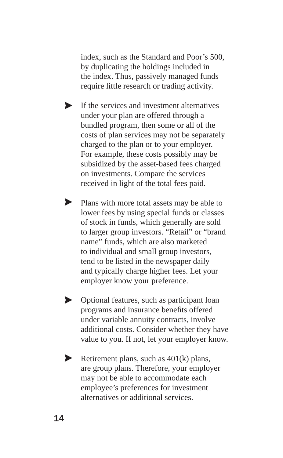index, such as the Standard and Poor's 500, by duplicating the holdings included in the index. Thus, passively managed funds require little research or trading activity.

- If the services and investment alternatives under your plan are offered through a bundled program, then some or all of the costs of plan services may not be separately charged to the plan or to your employer. For example, these costs possibly may be subsidized by the asset-based fees charged on investments. Compare the services received in light of the total fees paid.  $\blacktriangleright$
- Plans with more total assets may be able to lower fees by using special funds or classes of stock in funds, which generally are sold to larger group investors. "Retail" or "brand name" funds, which are also marketed to individual and small group investors, tend to be listed in the newspaper daily and typically charge higher fees. Let your employer know your preference.
- Optional features, such as participant loan programs and insurance benefits offered under variable annuity contracts, involve additional costs. Consider whether they have value to you. If not, let your employer know.  $\blacktriangleright$
- Retirement plans, such as 401(k) plans, are group plans. Therefore, your employer may not be able to accommodate each employee's preferences for investment alternatives or additional services.  $\blacktriangleright$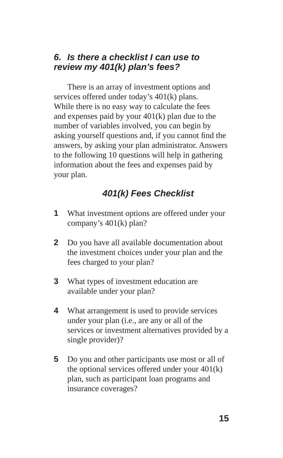#### *6. Is there a checklist I can use to review my 401(k) plan's fees?*

There is an array of investment options and services offered under today's 401(k) plans. While there is no easy way to calculate the fees and expenses paid by your 401(k) plan due to the number of variables involved, you can begin by asking yourself questions and, if you cannot find the answers, by asking your plan administrator. Answers to the following 10 questions will help in gathering information about the fees and expenses paid by your plan.

## *401(k) Fees Checklist*

- **1** What investment options are offered under your company's 401(k) plan?
- **2** Do you have all available documentation about the investment choices under your plan and the fees charged to your plan?
- **3** What types of investment education are available under your plan?
- **4** What arrangement is used to provide services under your plan (i.e., are any or all of the services or investment alternatives provided by a single provider)?
- **5** Do you and other participants use most or all of the optional services offered under your 401(k) plan, such as participant loan programs and insurance coverages?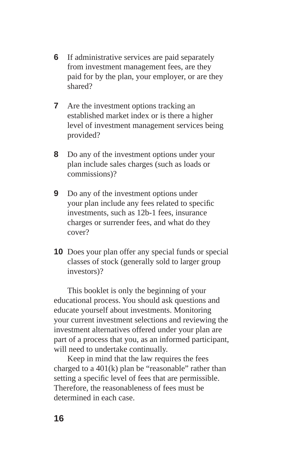- **6** If administrative services are paid separately from investment management fees, are they paid for by the plan, your employer, or are they shared?
- **7** Are the investment options tracking an established market index or is there a higher level of investment management services being provided?
- **8** Do any of the investment options under your plan include sales charges (such as loads or commissions)?
- **9** Do any of the investment options under your plan include any fees related to specific investments, such as 12b-1 fees, insurance charges or surrender fees, and what do they cover?
- **10** Does your plan offer any special funds or special classes of stock (generally sold to larger group investors)?

This booklet is only the beginning of your educational process. You should ask questions and educate yourself about investments. Monitoring your current investment selections and reviewing the investment alternatives offered under your plan are part of a process that you, as an informed participant, will need to undertake continually.

Keep in mind that the law requires the fees charged to a  $401(k)$  plan be "reasonable" rather than setting a specific level of fees that are permissible. Therefore, the reasonableness of fees must be determined in each case.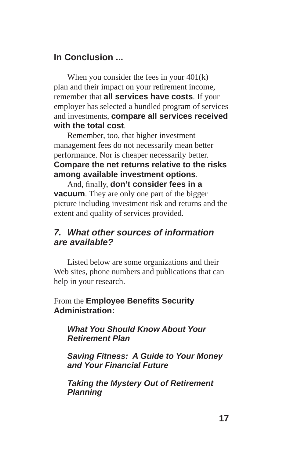## **In Conclusion ...**

When you consider the fees in your  $401(k)$ plan and their impact on your retirement income, remember that **all services have costs**. If your employer has selected a bundled program of services and investments, **compare all services received with the total cost**.

Remember, too, that higher investment management fees do not necessarily mean better performance. Nor is cheaper necessarily better. **Compare the net returns relative to the risks among available investment options**.

And, finally, **don't consider fees in a vacuum**. They are only one part of the bigger picture including investment risk and returns and the extent and quality of services provided.

### *7. What other sources of information are available?*

Listed below are some organizations and their Web sites, phone numbers and publications that can help in your research.

#### From the **Employee Benefits Security Administration:**

#### *What You Should Know About Your Retirement Plan*

*Saving Fitness: A Guide to Your Money and Your Financial Future*

*Taking the Mystery Out of Retirement Planning*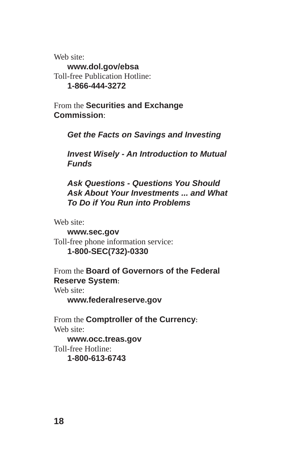Web site:

**www.dol.gov/ebsa** Toll-free Publication Hotline: **1-866-444-3272** 

From the **Securities and Exchange Commission**:

*Get the Facts on Savings and Investing*

*Invest Wisely - An Introduction to Mutual Funds* 

*Ask Questions - Questions You Should Ask About Your Investments ... and What To Do if You Run into Problems* 

Web site:

**www.sec.gov**  Toll-free phone information service: **1-800-SEC(732)-0330** 

From the **Board of Governors of the Federal Reserve System**:

Web site:

**www.federalreserve.gov** 

From the **Comptroller of the Currency**: Web site: **www.occ.treas.gov**

Toll-free Hotline:

**1-800-613-6743**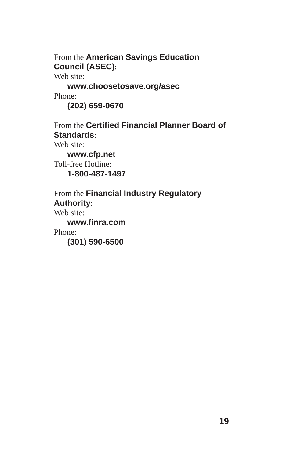From the **American Savings Education Council (ASEC)**:

Web site:

**www.choosetosave.org/asec**  Phone:

**(202) 659-0670**

From the **Certified Financial Planner Board of Standards**:

Web site:

**www.cfp.net** Toll-free Hotline: **1-800-487-1497** 

From the **Financial Industry Regulatory Authority**: Web site: **www.fi nra.com** 

Phone:

**(301) 590-6500**